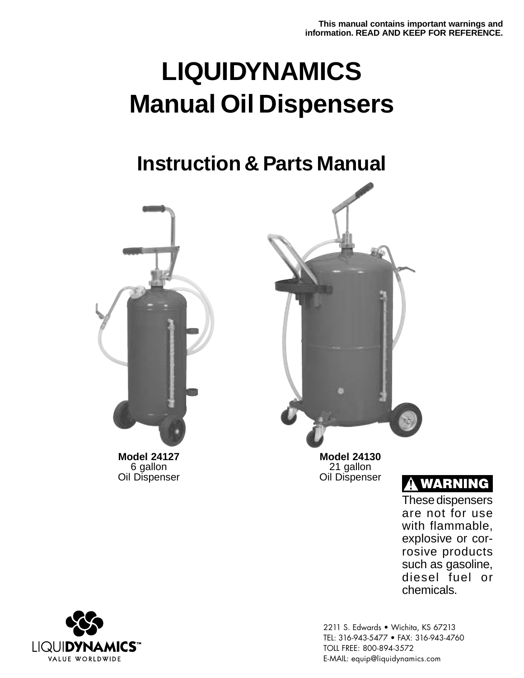## **LIQUIDYNAMICS Manual Oil Dispensers**

### **Instruction & Parts Manual**



6 gallon Oil Dispenser



**Model 24130** 21 gallon Oil Dispenser



These dispensers are not for use with flammable, explosive or corrosive products such as gasoline, diesel fuel or chemicals.



2211 S. Edwards • Wichita, KS 67213 TEL: 316-943-5477 • FAX: 316-943-4760 TOLL FREE: 800-894-3572 E-MAIL: equip@liquidynamics.com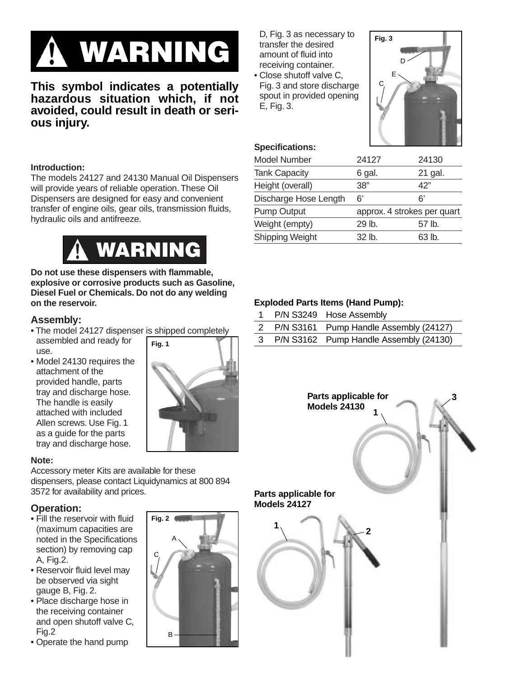# **WARNING**

**This symbol indicates a potentially hazardous situation which, if not avoided, could result in death or serious injury.**

#### **Introduction:**

The models 24127 and 24130 Manual Oil Dispensers will provide years of reliable operation. These Oil Dispensers are designed for easy and convenient transfer of engine oils, gear oils, transmission fluids, hydraulic oils and antifreeze.



**Do not use these dispensers with flammable, explosive or corrosive products such as Gasoline, Diesel Fuel or Chemicals. Do not do any welding on the reservoir.**

#### **Assembly:**

- The model 24127 dispenser is shipped completely assembled and ready for use. **Fig. 1**
- Model 24130 requires the attachment of the provided handle, parts tray and discharge hose. The handle is easily attached with included Allen screws. Use Fig. 1 as a guide for the parts tray and discharge hose.



#### **Note:**

Accessory meter Kits are available for these dispensers, please contact Liquidynamics at 800 894 3572 for availability and prices.

**Fig. 2**

C

A

B

#### **Operation:**

- Fill the reservoir with fluid (maximum capacities are noted in the Specifications section) by removing cap A, Fig.2.
- Reservoir fluid level may be observed via sight gauge B, Fig. 2.
- Place discharge hose in the receiving container and open shutoff valve C, Fig.2
- Operate the hand pump

D, Fig. 3 as necessary to transfer the desired amount of fluid into receiving container.

• Close shutoff valve C, Fig. 3 and store discharge spout in provided opening E, Fig. 3.



| <b>Specifications:</b> |  |
|------------------------|--|
| Model Number           |  |

| Model Number          | 24127  | 24130                       |
|-----------------------|--------|-----------------------------|
| <b>Tank Capacity</b>  | 6 gal. | 21 gal.                     |
| Height (overall)      | 38"    | 42"                         |
| Discharge Hose Length | 6'     | 6'                          |
| <b>Pump Output</b>    |        | approx. 4 strokes per quart |
| Weight (empty)        | 29 lb. | 57 lb.                      |
| Shipping Weight       | 32 lb. | 63 lb.                      |
|                       |        |                             |

#### **Exploded Parts Items (Hand Pump):**

|  | P/N S3249 Hose Assembly                  |
|--|------------------------------------------|
|  | 2 P/N S3161 Pump Handle Assembly (24127) |
|  | 3 P/N S3162 Pump Handle Assembly (24130) |

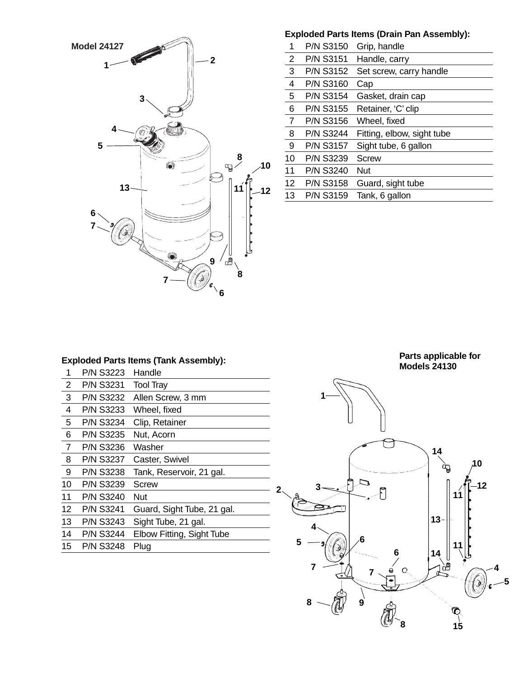

#### **Exploded Parts Items (Drain Pan Assembly):**

| 1              | P/N S3150        | Grip, handle               |
|----------------|------------------|----------------------------|
| $\overline{2}$ | <b>P/N S3151</b> | Handle, carry              |
| 3              | <b>P/N S3152</b> | Set screw, carry handle    |
| 4              | <b>P/N S3160</b> | Cap                        |
| 5              | <b>P/N S3154</b> | Gasket, drain cap          |
| 6              | <b>P/N S3155</b> | Retainer, 'C' clip         |
| $\overline{7}$ | <b>P/N S3156</b> | Wheel, fixed               |
| 8              | <b>P/N S3244</b> | Fitting, elbow, sight tube |
| 9              | <b>P/N S3157</b> | Sight tube, 6 gallon       |
| 10             | <b>P/N S3239</b> | <b>Screw</b>               |
| 11             | <b>P/N S3240</b> | <b>Nut</b>                 |
| 12             | <b>P/N S3158</b> | Guard, sight tube          |
| 13             | <b>P/N S3159</b> | Tank, 6 gallon             |
|                |                  |                            |

#### **Exploded Parts Items (Tank Assembly):**

| 1              | <b>P/N S3223</b> | Handle                     |
|----------------|------------------|----------------------------|
| 2              | <b>P/N S3231</b> | <b>Tool Tray</b>           |
| 3              | <b>P/N S3232</b> | Allen Screw, 3 mm          |
| 4              | <b>P/N S3233</b> | Wheel, fixed               |
| 5              | <b>P/N S3234</b> | Clip, Retainer             |
| 6              | <b>P/N S3235</b> | Nut, Acorn                 |
| $\overline{7}$ | <b>P/N S3236</b> | Washer                     |
| 8              | P/N S3237        | Caster, Swivel             |
| 9              | <b>P/N S3238</b> | Tank, Reservoir, 21 gal.   |
| 10             | <b>P/N S3239</b> | Screw                      |
| 11             | <b>P/N S3240</b> | <b>Nut</b>                 |
| 12             | <b>P/N S3241</b> | Guard, Sight Tube, 21 gal. |
| 13             | <b>P/N S3243</b> | Sight Tube, 21 gal.        |
| 14             | <b>P/N S3244</b> | Elbow Fitting, Sight Tube  |
| 15             | <b>P/N S3248</b> | Plug                       |

**Parts applicable for Models 24130**